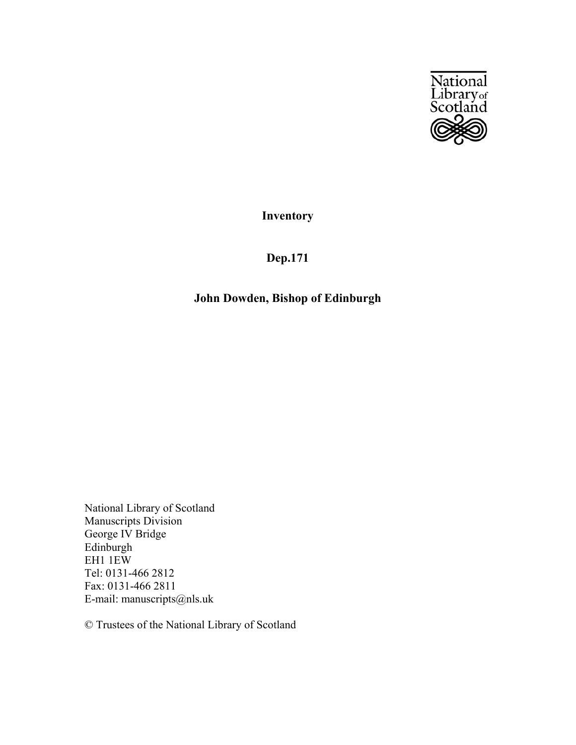

**Inventory**

## **Dep.171**

## **John Dowden, Bishop of Edinburgh**

National Library of Scotland Manuscripts Division George IV Bridge Edinburgh EH1 1EW Tel: 0131-466 2812 Fax: 0131-466 2811 E-mail: manuscripts@nls.uk

© Trustees of the National Library of Scotland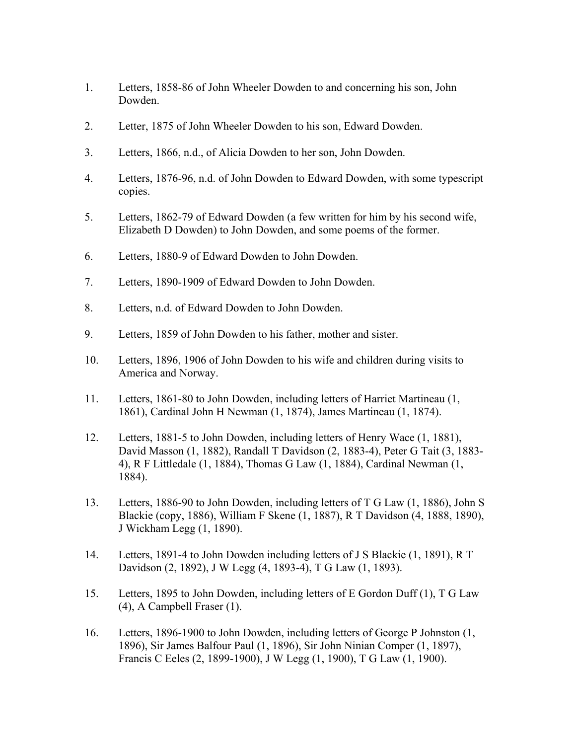- 1. Letters, 1858-86 of John Wheeler Dowden to and concerning his son, John Dowden.
- 2. Letter, 1875 of John Wheeler Dowden to his son, Edward Dowden.
- 3. Letters, 1866, n.d., of Alicia Dowden to her son, John Dowden.
- 4. Letters, 1876-96, n.d. of John Dowden to Edward Dowden, with some typescript copies.
- 5. Letters, 1862-79 of Edward Dowden (a few written for him by his second wife, Elizabeth D Dowden) to John Dowden, and some poems of the former.
- 6. Letters, 1880-9 of Edward Dowden to John Dowden.
- 7. Letters, 1890-1909 of Edward Dowden to John Dowden.
- 8. Letters, n.d. of Edward Dowden to John Dowden.
- 9. Letters, 1859 of John Dowden to his father, mother and sister.
- 10. Letters, 1896, 1906 of John Dowden to his wife and children during visits to America and Norway.
- 11. Letters, 1861-80 to John Dowden, including letters of Harriet Martineau (1, 1861), Cardinal John H Newman (1, 1874), James Martineau (1, 1874).
- 12. Letters, 1881-5 to John Dowden, including letters of Henry Wace (1, 1881), David Masson (1, 1882), Randall T Davidson (2, 1883-4), Peter G Tait (3, 1883- 4), R F Littledale (1, 1884), Thomas G Law (1, 1884), Cardinal Newman (1, 1884).
- 13. Letters, 1886-90 to John Dowden, including letters of T G Law (1, 1886), John S Blackie (copy, 1886), William F Skene (1, 1887), R T Davidson (4, 1888, 1890), J Wickham Legg (1, 1890).
- 14. Letters, 1891-4 to John Dowden including letters of J S Blackie (1, 1891), R T Davidson (2, 1892), J W Legg (4, 1893-4), T G Law (1, 1893).
- 15. Letters, 1895 to John Dowden, including letters of E Gordon Duff (1), T G Law (4), A Campbell Fraser (1).
- 16. Letters, 1896-1900 to John Dowden, including letters of George P Johnston (1, 1896), Sir James Balfour Paul (1, 1896), Sir John Ninian Comper (1, 1897), Francis C Eeles (2, 1899-1900), J W Legg (1, 1900), T G Law (1, 1900).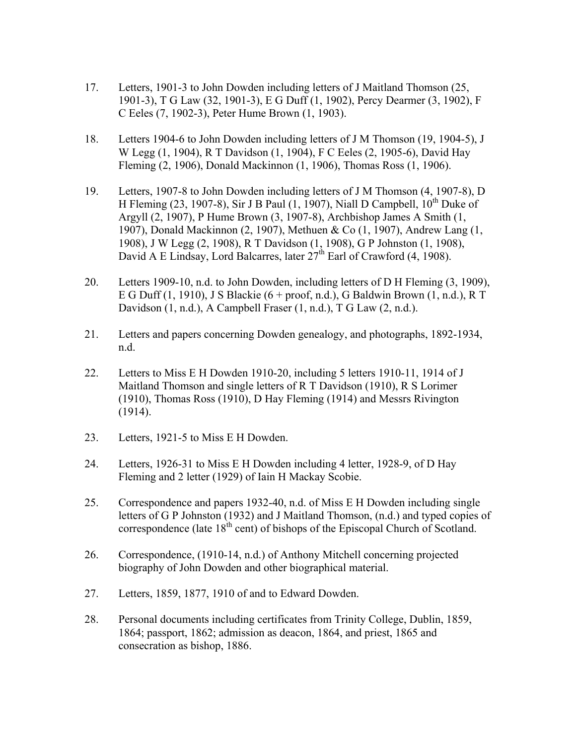- 17. Letters, 1901-3 to John Dowden including letters of J Maitland Thomson (25, 1901-3), T G Law (32, 1901-3), E G Duff (1, 1902), Percy Dearmer (3, 1902), F C Eeles (7, 1902-3), Peter Hume Brown (1, 1903).
- 18. Letters 1904-6 to John Dowden including letters of J M Thomson (19, 1904-5), J W Legg (1, 1904), R T Davidson (1, 1904), F C Eeles (2, 1905-6), David Hay Fleming (2, 1906), Donald Mackinnon (1, 1906), Thomas Ross (1, 1906).
- 19. Letters, 1907-8 to John Dowden including letters of J M Thomson (4, 1907-8), D H Fleming (23, 1907-8), Sir J B Paul (1, 1907), Niall D Campbell,  $10^{th}$  Duke of Argyll (2, 1907), P Hume Brown (3, 1907-8), Archbishop James A Smith (1, 1907), Donald Mackinnon (2, 1907), Methuen & Co (1, 1907), Andrew Lang (1, 1908), J W Legg (2, 1908), R T Davidson (1, 1908), G P Johnston (1, 1908), David A E Lindsay, Lord Balcarres, later  $27<sup>th</sup>$  Earl of Crawford (4, 1908).
- 20. Letters 1909-10, n.d. to John Dowden, including letters of D H Fleming (3, 1909), E G Duff (1, 1910), J S Blackie (6 + proof, n.d.), G Baldwin Brown (1, n.d.), R T Davidson (1, n.d.), A Campbell Fraser (1, n.d.), T G Law (2, n.d.).
- 21. Letters and papers concerning Dowden genealogy, and photographs, 1892-1934, n.d.
- 22. Letters to Miss E H Dowden 1910-20, including 5 letters 1910-11, 1914 of J Maitland Thomson and single letters of R T Davidson (1910), R S Lorimer (1910), Thomas Ross (1910), D Hay Fleming (1914) and Messrs Rivington (1914).
- 23. Letters, 1921-5 to Miss E H Dowden.
- 24. Letters, 1926-31 to Miss E H Dowden including 4 letter, 1928-9, of D Hay Fleming and 2 letter (1929) of Iain H Mackay Scobie.
- 25. Correspondence and papers 1932-40, n.d. of Miss E H Dowden including single letters of G P Johnston (1932) and J Maitland Thomson, (n.d.) and typed copies of correspondence (late  $18<sup>th</sup>$  cent) of bishops of the Episcopal Church of Scotland.
- 26. Correspondence, (1910-14, n.d.) of Anthony Mitchell concerning projected biography of John Dowden and other biographical material.
- 27. Letters, 1859, 1877, 1910 of and to Edward Dowden.
- 28. Personal documents including certificates from Trinity College, Dublin, 1859, 1864; passport, 1862; admission as deacon, 1864, and priest, 1865 and consecration as bishop, 1886.